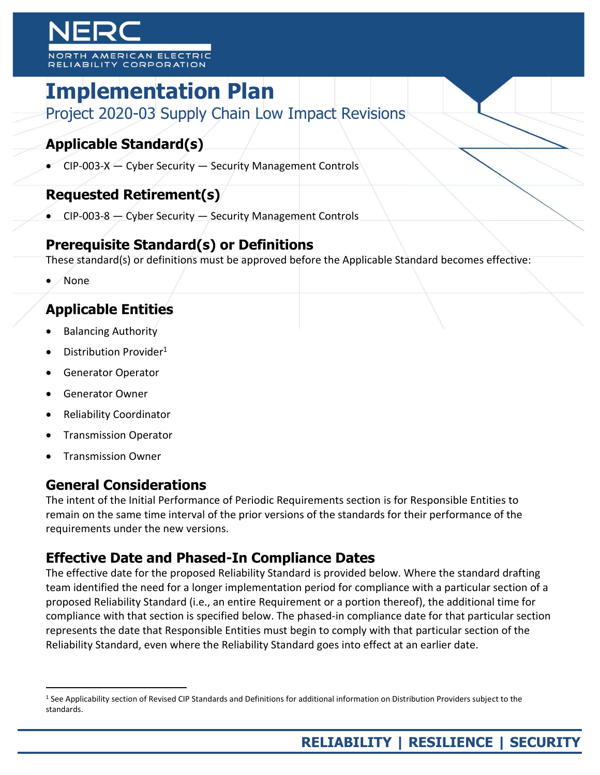# MERICAN ELECTRIC **ABILIT**

# **Implementation Plan**

Project 2020-03 Supply Chain Low Impact Revisions

# **Applicable Standard(s)**

 $\bullet$  CIP-003-X - Cyber Security - Security Management Controls

## **Requested Retirement(s)**

 $\bullet$  CIP-003-8  $-$  Cyber Security  $-$  Security Management Controls

## **Prerequisite Standard(s) or Definitions**

These standard(s) or definitions must be approved before the Applicable Standard becomes effective:

None

## **Applicable Entities**

- Balancing Authority
- Distribution Provider<sup>1</sup>
- Generator Operator
- Generator Owner
- Reliability Coordinator
- Transmission Operator
- Transmission Owner

 $\overline{a}$ 

### **General Considerations**

The intent of the Initial Performance of Periodic Requirements section is for Responsible Entities to remain on the same time interval of the prior versions of the standards for their performance of the requirements under the new versions.

## **Effective Date and Phased-In Compliance Dates**

The effective date for the proposed Reliability Standard is provided below. Where the standard drafting team identified the need for a longer implementation period for compliance with a particular section of a proposed Reliability Standard (i.e., an entire Requirement or a portion thereof), the additional time for compliance with that section is specified below. The phased-in compliance date for that particular section represents the date that Responsible Entities must begin to comply with that particular section of the Reliability Standard, even where the Reliability Standard goes into effect at an earlier date.

<sup>1</sup> See Applicability section of Revised CIP Standards and Definitions for additional information on Distribution Providers subject to the standards.